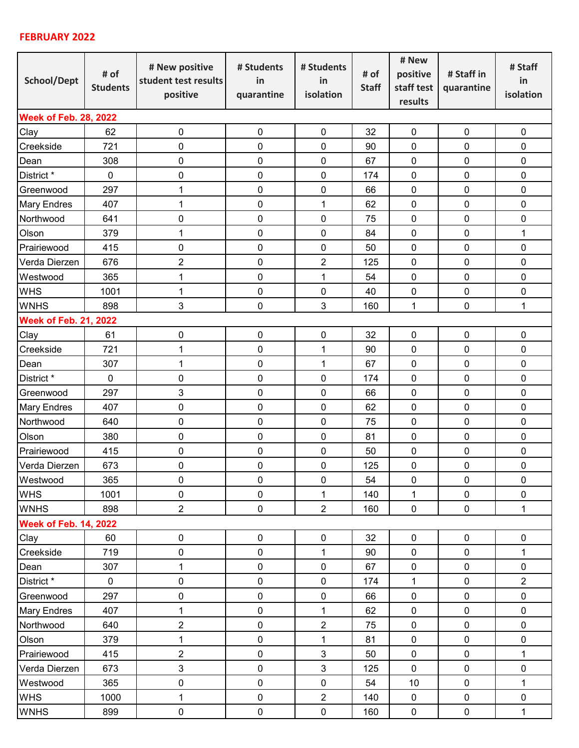## **FEBRUARY 2022**

| School/Dept                  | # of<br><b>Students</b> | # New positive<br>student test results<br>positive | # Students<br>in<br>quarantine | # Students<br>in<br>isolation | # of<br><b>Staff</b> | # New<br>positive<br>staff test<br>results | # Staff in<br>quarantine | # Staff<br>in<br>isolation |  |  |  |  |
|------------------------------|-------------------------|----------------------------------------------------|--------------------------------|-------------------------------|----------------------|--------------------------------------------|--------------------------|----------------------------|--|--|--|--|
| <b>Week of Feb. 28, 2022</b> |                         |                                                    |                                |                               |                      |                                            |                          |                            |  |  |  |  |
| Clay                         | 62                      | $\pmb{0}$                                          | $\mathbf 0$                    | $\pmb{0}$                     | 32                   | $\pmb{0}$                                  | $\pmb{0}$                | $\pmb{0}$                  |  |  |  |  |
| Creekside                    | 721                     | $\mathbf 0$                                        | 0                              | $\mathbf 0$                   | 90                   | 0                                          | $\mathbf 0$              | 0                          |  |  |  |  |
| Dean                         | 308                     | $\mathbf 0$                                        | 0                              | 0                             | 67                   | 0                                          | $\mathbf 0$              | 0                          |  |  |  |  |
| District *                   | $\mathbf 0$             | $\mathbf 0$                                        | 0                              | $\mathbf 0$                   | 174                  | $\mathbf 0$                                | $\mathbf 0$              | $\pmb{0}$                  |  |  |  |  |
| Greenwood                    | 297                     | 1                                                  | 0                              | $\pmb{0}$                     | 66                   | $\pmb{0}$                                  | $\pmb{0}$                | $\pmb{0}$                  |  |  |  |  |
| <b>Mary Endres</b>           | 407                     | 1                                                  | 0                              | $\mathbf{1}$                  | 62                   | $\mathbf 0$                                | $\mathbf 0$              | $\pmb{0}$                  |  |  |  |  |
| Northwood                    | 641                     | $\mathbf 0$                                        | 0                              | $\mathbf 0$                   | 75                   | 0                                          | $\mathbf 0$              | $\pmb{0}$                  |  |  |  |  |
| Olson                        | 379                     | 1                                                  | 0                              | $\mathbf 0$                   | 84                   | $\mathbf 0$                                | $\mathbf 0$              | $\mathbf{1}$               |  |  |  |  |
| Prairiewood                  | 415                     | $\pmb{0}$                                          | 0                              | $\pmb{0}$                     | 50                   | 0                                          | $\mathbf 0$              | $\mathbf 0$                |  |  |  |  |
| Verda Dierzen                | 676                     | $\overline{2}$                                     | 0                              | $\overline{2}$                | 125                  | 0                                          | $\mathbf 0$              | 0                          |  |  |  |  |
| Westwood                     | 365                     | 1                                                  | 0                              | $\mathbf{1}$                  | 54                   | 0                                          | $\mathbf 0$              | $\mathbf 0$                |  |  |  |  |
| <b>WHS</b>                   | 1001                    | 1                                                  | 0                              | 0                             | 40                   | 0                                          | $\mathbf 0$              | 0                          |  |  |  |  |
| <b>WNHS</b>                  | 898                     | 3                                                  | $\mathbf 0$                    | 3                             | 160                  | $\mathbf{1}$                               | $\mathbf 0$              | $\mathbf{1}$               |  |  |  |  |
| <b>Week of Feb. 21, 2022</b> |                         |                                                    |                                |                               |                      |                                            |                          |                            |  |  |  |  |
| Clay                         | 61                      | $\boldsymbol{0}$                                   | $\pmb{0}$                      | $\pmb{0}$                     | 32                   | $\pmb{0}$                                  | $\pmb{0}$                | $\pmb{0}$                  |  |  |  |  |
| Creekside                    | 721                     | $\mathbf 1$                                        | 0                              | $\mathbf{1}$                  | 90                   | $\pmb{0}$                                  | $\pmb{0}$                | 0                          |  |  |  |  |
| Dean                         | 307                     | 1                                                  | 0                              | $\mathbf{1}$                  | 67                   | 0                                          | $\mathbf 0$              | $\mathbf 0$                |  |  |  |  |
| District *                   | 0                       | $\pmb{0}$                                          | $\pmb{0}$                      | 0                             | 174                  | 0                                          | $\mathbf 0$              | 0                          |  |  |  |  |
| Greenwood                    | 297                     | 3                                                  | $\mathbf 0$                    | $\mathbf 0$                   | 66                   | 0                                          | $\mathbf 0$              | 0                          |  |  |  |  |
| <b>Mary Endres</b>           | 407                     | $\mathbf 0$                                        | 0                              | $\pmb{0}$                     | 62                   | $\mathbf 0$                                | $\mathbf 0$              | $\pmb{0}$                  |  |  |  |  |
| Northwood                    | 640                     | $\mathbf 0$                                        | 0                              | 0                             | 75                   | 0                                          | $\mathbf 0$              | $\pmb{0}$                  |  |  |  |  |
| Olson                        | 380                     | $\mathbf 0$                                        | 0                              | $\mathbf 0$                   | 81                   | 0                                          | $\mathbf 0$              | $\pmb{0}$                  |  |  |  |  |
| Prairiewood                  | 415                     | $\mathbf 0$                                        | $\pmb{0}$                      | $\boldsymbol{0}$              | 50                   | $\pmb{0}$                                  | $\pmb{0}$                | $\pmb{0}$                  |  |  |  |  |
| Verda Dierzen                | 673                     | 0                                                  | 0                              | 0                             | 125                  | 0                                          | $\pmb{0}$                | 0                          |  |  |  |  |
| Westwood                     | 365                     | 0                                                  | 0                              | 0                             | 54                   | 0                                          | 0                        | 0                          |  |  |  |  |
| <b>WHS</b>                   | 1001                    | $\mathbf 0$                                        | $\pmb{0}$                      | $\mathbf{1}$                  | 140                  | $\mathbf{1}$                               | $\mathbf 0$              | $\mathbf 0$                |  |  |  |  |
| <b>WNHS</b>                  | 898                     | $\overline{2}$                                     | $\pmb{0}$                      | $\overline{2}$                | 160                  | $\pmb{0}$                                  | $\mathbf 0$              | $\mathbf 1$                |  |  |  |  |
| <b>Week of Feb. 14, 2022</b> |                         |                                                    |                                |                               |                      |                                            |                          |                            |  |  |  |  |
| Clay                         | 60                      | $\pmb{0}$                                          | $\pmb{0}$                      | $\pmb{0}$                     | 32                   | $\pmb{0}$                                  | $\pmb{0}$                | $\pmb{0}$                  |  |  |  |  |
| Creekside                    | 719                     | $\pmb{0}$                                          | $\pmb{0}$                      | $\mathbf{1}$                  | 90                   | 0                                          | $\mathbf 0$              | $\mathbf{1}$               |  |  |  |  |
| Dean                         | 307                     | 1                                                  | $\pmb{0}$                      | $\pmb{0}$                     | 67                   | $\pmb{0}$                                  | $\pmb{0}$                | $\pmb{0}$                  |  |  |  |  |
| District *                   | $\mathbf 0$             | $\pmb{0}$                                          | $\pmb{0}$                      | $\pmb{0}$                     | 174                  | $\mathbf{1}$                               | $\pmb{0}$                | $\overline{2}$             |  |  |  |  |
| Greenwood                    | 297                     | $\pmb{0}$                                          | $\pmb{0}$                      | $\pmb{0}$                     | 66                   | 0                                          | $\pmb{0}$                | $\pmb{0}$                  |  |  |  |  |
| <b>Mary Endres</b>           | 407                     | 1                                                  | $\pmb{0}$                      | $\mathbf{1}$                  | 62                   | 0                                          | $\mathbf 0$              | $\pmb{0}$                  |  |  |  |  |
| Northwood                    | 640                     | $\overline{2}$                                     | $\pmb{0}$                      | $\overline{2}$                | 75                   | $\pmb{0}$                                  | $\pmb{0}$                | $\pmb{0}$                  |  |  |  |  |
| Olson                        | 379                     | 1                                                  | $\pmb{0}$                      | $\mathbf{1}$                  | 81                   | $\pmb{0}$                                  | $\mathbf 0$              | $\pmb{0}$                  |  |  |  |  |
| Prairiewood                  | 415                     | $\overline{2}$                                     | $\pmb{0}$                      | $\mathbf{3}$                  | 50                   | $\pmb{0}$                                  | $\pmb{0}$                | $\mathbf{1}$               |  |  |  |  |
| Verda Dierzen                | 673                     | $\mathbf{3}$                                       | $\pmb{0}$                      | $\mathbf{3}$                  | 125                  | $\mathbf 0$                                | $\pmb{0}$                | $\pmb{0}$                  |  |  |  |  |
| Westwood                     | 365                     | $\pmb{0}$                                          | $\pmb{0}$                      | $\pmb{0}$                     | 54                   | 10                                         | $\pmb{0}$                | $\mathbf{1}$               |  |  |  |  |
| <b>WHS</b>                   | 1000                    | 1                                                  | $\pmb{0}$                      | $\overline{2}$                | 140                  | $\pmb{0}$                                  | $\pmb{0}$                | $\pmb{0}$                  |  |  |  |  |
| <b>WNHS</b>                  | 899                     | $\pmb{0}$                                          | $\pmb{0}$                      | $\pmb{0}$                     | 160                  | $\pmb{0}$                                  | $\pmb{0}$                | $\mathbf{1}$               |  |  |  |  |